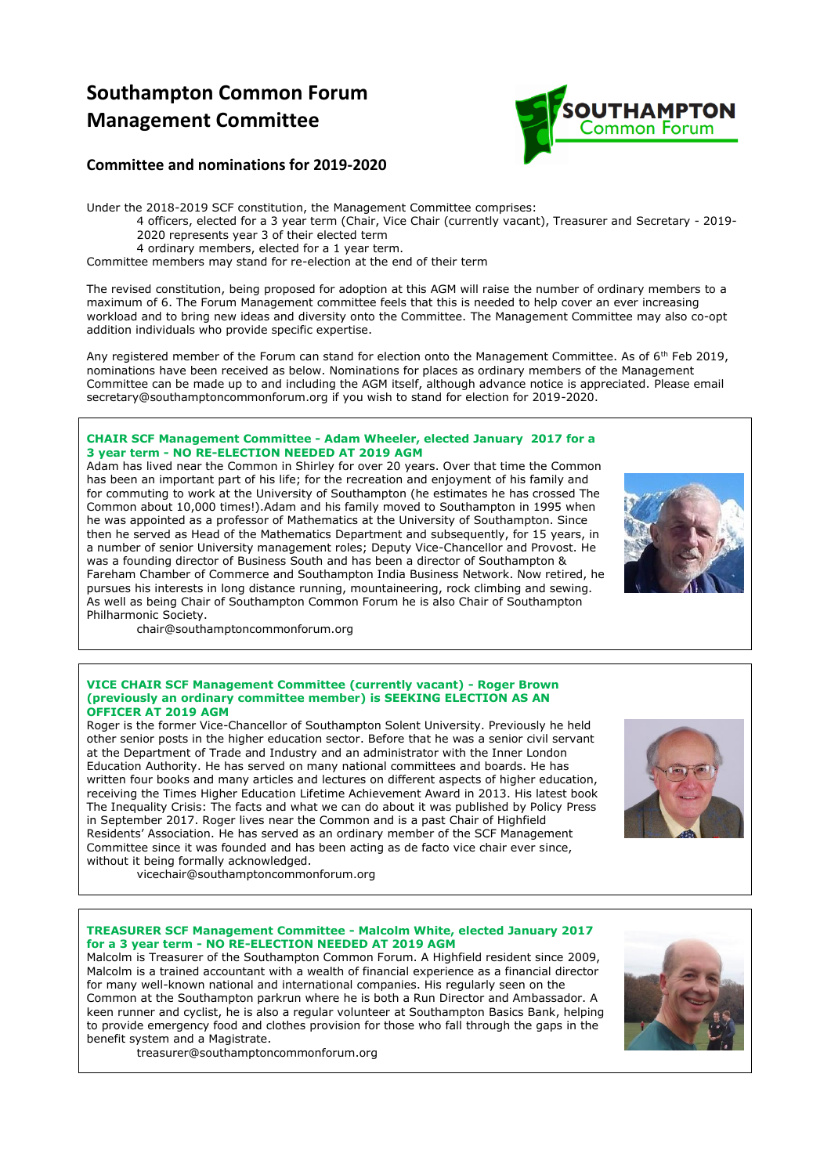# **Southampton Common Forum Management Committee**



# **Committee and nominations for 2019-2020**

Under the 2018-2019 SCF constitution, the Management Committee comprises: 4 officers, elected for a 3 year term (Chair, Vice Chair (currently vacant), Treasurer and Secretary - 2019- 2020 represents year 3 of their elected term 4 ordinary members, elected for a 1 year term. Committee members may stand for re-election at the end of their term

The revised constitution, being proposed for adoption at this AGM will raise the number of ordinary members to a maximum of 6. The Forum Management committee feels that this is needed to help cover an ever increasing workload and to bring new ideas and diversity onto the Committee. The Management Committee may also co-opt

addition individuals who provide specific expertise. Any registered member of the Forum can stand for election onto the Management Committee. As of 6<sup>th</sup> Feb 2019,

nominations have been received as below. Nominations for places as ordinary members of the Management Committee can be made up to and including the AGM itself, although advance notice is appreciated. Please email secretary@southamptoncommonforum.org if you wish to stand for election for 2019-2020.

#### **CHAIR SCF Management Committee - Adam Wheeler, elected January 2017 for a 3 year term - NO RE-ELECTION NEEDED AT 2019 AGM**

Adam has lived near the Common in Shirley for over 20 years. Over that time the Common has been an important part of his life; for the recreation and enjoyment of his family and for commuting to work at the University of Southampton (he estimates he has crossed The Common about 10,000 times!).Adam and his family moved to Southampton in 1995 when he was appointed as a professor of Mathematics at the University of Southampton. Since then he served as Head of the Mathematics Department and subsequently, for 15 years, in a number of senior University management roles; Deputy Vice-Chancellor and Provost. He was a founding director of Business South and has been a director of Southampton & Fareham Chamber of Commerce and Southampton India Business Network. Now retired, he pursues his interests in long distance running, mountaineering, rock climbing and sewing. As well as being Chair of Southampton Common Forum he is also Chair of Southampton Philharmonic Society.



chair@southamptoncommonforum.org

#### **VICE CHAIR SCF Management Committee (currently vacant) - Roger Brown (previously an ordinary committee member) is SEEKING ELECTION AS AN OFFICER AT 2019 AGM**

Roger is the former Vice-Chancellor of Southampton Solent University. Previously he held other senior posts in the higher education sector. Before that he was a senior civil servant at the Department of Trade and Industry and an administrator with the Inner London Education Authority. He has served on many national committees and boards. He has written four books and many articles and lectures on different aspects of higher education, receiving the Times Higher Education Lifetime Achievement Award in 2013. His latest book The Inequality Crisis: The facts and what we can do about it was published by Policy Press in September 2017. Roger lives near the Common and is a past Chair of Highfield Residents' Association. He has served as an ordinary member of the SCF Management Committee since it was founded and has been acting as de facto vice chair ever since, without it being formally acknowledged.



vicechair@southamptoncommonforum.org

#### **TREASURER SCF Management Committee - Malcolm White, elected January 2017 for a 3 year term - NO RE-ELECTION NEEDED AT 2019 AGM**

Malcolm is Treasurer of the Southampton Common Forum. A Highfield resident since 2009, Malcolm is a trained accountant with a wealth of financial experience as a financial director for many well-known national and international companies. His regularly seen on the Common at the Southampton parkrun where he is both a Run Director and Ambassador. A keen runner and cyclist, he is also a regular volunteer at Southampton Basics Bank, helping to provide emergency food and clothes provision for those who fall through the gaps in the benefit system and a Magistrate.



treasurer@southamptoncommonforum.org